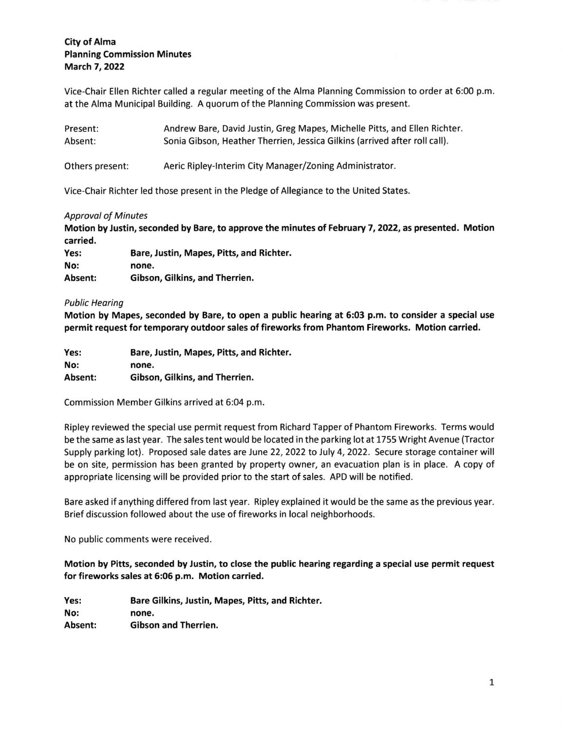# City of Alma Planning Commission Minutes March 7,2022

Vice-Chair Ellen Richter called a regular meeting of the Alma Planning Commission to order at 6:00 p.m at the Alma Municipal Building. A quorum of the Planning Commission was present.

| Present:        | Andrew Bare, David Justin, Greg Mapes, Michelle Pitts, and Ellen Richter.  |
|-----------------|----------------------------------------------------------------------------|
| Absent:         | Sonia Gibson, Heather Therrien, Jessica Gilkins (arrived after roll call). |
| Others present: | Aeric Ripley-Interim City Manager/Zoning Administrator.                    |

Vice-Chair Richter led those present in the Pledge of Allegiance to the United States

### **Approval of Minutes**

Motion by Justin, seconded by Bare, to approve the minutes of February 7, 2022, as presented, Motion carried.

| Yes:    | Bare, Justin, Mapes, Pitts, and Richter. |
|---------|------------------------------------------|
| No:     | none.                                    |
| Absent: | Gibson, Gilkins, and Therrien.           |

## Public Heoring

Motion by Mapes, seconded by Bare, to open a public hearing at 6:03 p.m. to consider a special use permit request for temporary outdoor sales of fireworks from Phantom Fireworks. Motion carried.

| Yes:    | Bare, Justin, Mapes, Pitts, and Richter. |
|---------|------------------------------------------|
| No:     | none.                                    |
| Absent: | Gibson, Gilkins, and Therrien.           |

Commission Member Gilkins arrived at 6:04 p.m

Ripley reviewed the special use permit request from Richard Tapper of Phantom Fireworks. Terms would be the same as last year. The sales tent would be located in the parking lot at 1755 Wright Avenue (Tractor Supply parking lot). Proposed sale dates are June 22, 2022 to July 4, 2022. Secure storage container will be on site, permission has been granted by property owner, an evacuation plan is in place. A copy of appropriate licensing will be provided prior to the start of sales. APD will be notified.

Bare asked if anything differed from last year. Ripley explained it would be the same as the previous year. Brief discussion followed about the use of fireworks in local neighborhoods.

No public comments were received.

Motion by Pitts, seconded by Justin, to close the public hearing regarding a special use permit request for fireworks sales at 5:06 p.m. Motion carried.

Yes: No: Absent: Bare Gilkins, Justin, Mapes, Pitts, and Richter. none. Gibson and Therrien.